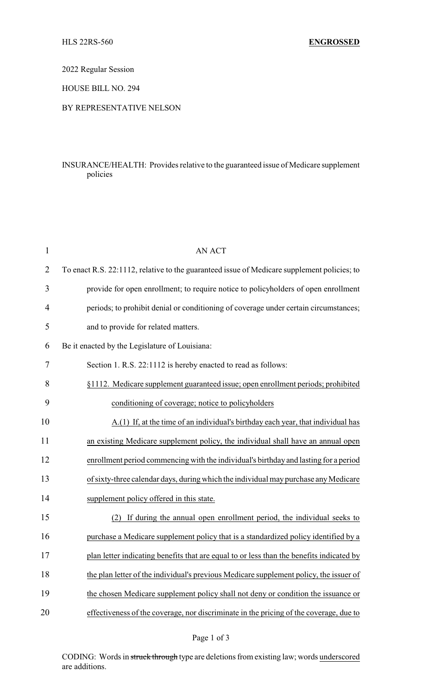2022 Regular Session

HOUSE BILL NO. 294

## BY REPRESENTATIVE NELSON

## INSURANCE/HEALTH: Provides relative to the guaranteed issue of Medicare supplement policies

| $\mathbf{1}$   | <b>AN ACT</b>                                                                               |
|----------------|---------------------------------------------------------------------------------------------|
| $\overline{2}$ | To enact R.S. 22:1112, relative to the guaranteed issue of Medicare supplement policies; to |
| 3              | provide for open enrollment; to require notice to policyholders of open enrollment          |
| 4              | periods; to prohibit denial or conditioning of coverage under certain circumstances;        |
| 5              | and to provide for related matters.                                                         |
| 6              | Be it enacted by the Legislature of Louisiana:                                              |
| 7              | Section 1. R.S. 22:1112 is hereby enacted to read as follows:                               |
| 8              | §1112. Medicare supplement guaranteed issue; open enrollment periods; prohibited            |
| 9              | conditioning of coverage; notice to policyholders                                           |
| 10             | A.(1) If, at the time of an individual's birthday each year, that individual has            |
| 11             | an existing Medicare supplement policy, the individual shall have an annual open            |
| 12             | enrollment period commencing with the individual's birthday and lasting for a period        |
| 13             | of sixty-three calendar days, during which the individual may purchase any Medicare         |
| 14             | supplement policy offered in this state.                                                    |
| 15             | If during the annual open enrollment period, the individual seeks to<br>(2)                 |
| 16             | purchase a Medicare supplement policy that is a standardized policy identified by a         |
| 17             | plan letter indicating benefits that are equal to or less than the benefits indicated by    |
| 18             | the plan letter of the individual's previous Medicare supplement policy, the issuer of      |
| 19             | the chosen Medicare supplement policy shall not deny or condition the issuance or           |
| 20             | effectiveness of the coverage, nor discriminate in the pricing of the coverage, due to      |

CODING: Words in struck through type are deletions from existing law; words underscored are additions.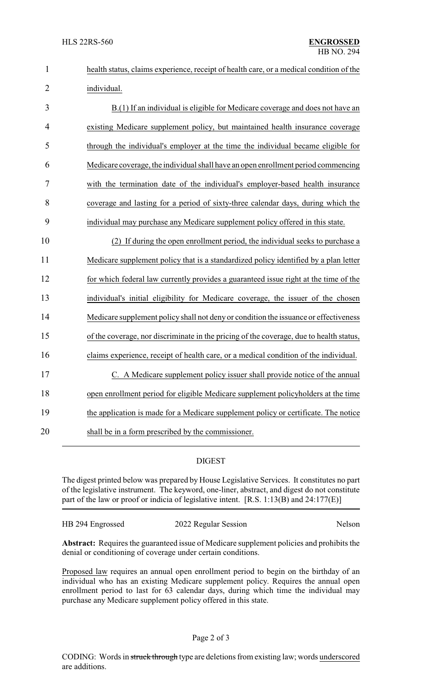| $\mathbf{1}$   | health status, claims experience, receipt of health care, or a medical condition of the |
|----------------|-----------------------------------------------------------------------------------------|
| $\overline{2}$ | individual.                                                                             |
| 3              | B.(1) If an individual is eligible for Medicare coverage and does not have an           |
| 4              | existing Medicare supplement policy, but maintained health insurance coverage           |
| 5              | through the individual's employer at the time the individual became eligible for        |
| 6              | Medicare coverage, the individual shall have an open enrollment period commencing       |
| 7              | with the termination date of the individual's employer-based health insurance           |
| 8              | coverage and lasting for a period of sixty-three calendar days, during which the        |
| 9              | individual may purchase any Medicare supplement policy offered in this state.           |
| 10             | (2) If during the open enrollment period, the individual seeks to purchase a            |
| 11             | Medicare supplement policy that is a standardized policy identified by a plan letter    |
| 12             | for which federal law currently provides a guaranteed issue right at the time of the    |
| 13             | individual's initial eligibility for Medicare coverage, the issuer of the chosen        |
| 14             | Medicare supplement policy shall not deny or condition the issuance or effectiveness    |
| 15             | of the coverage, nor discriminate in the pricing of the coverage, due to health status, |
| 16             | claims experience, receipt of health care, or a medical condition of the individual.    |
| 17             | C. A Medicare supplement policy issuer shall provide notice of the annual               |
| 18             | open enrollment period for eligible Medicare supplement policyholders at the time       |
| 19             | the application is made for a Medicare supplement policy or certificate. The notice     |
| 20             | shall be in a form prescribed by the commissioner.                                      |
|                |                                                                                         |

## DIGEST

The digest printed below was prepared by House Legislative Services. It constitutes no part of the legislative instrument. The keyword, one-liner, abstract, and digest do not constitute part of the law or proof or indicia of legislative intent. [R.S. 1:13(B) and 24:177(E)]

HB 294 Engrossed 2022 Regular Session Nelson

**Abstract:** Requires the guaranteed issue of Medicare supplement policies and prohibits the denial or conditioning of coverage under certain conditions.

Proposed law requires an annual open enrollment period to begin on the birthday of an individual who has an existing Medicare supplement policy. Requires the annual open enrollment period to last for 63 calendar days, during which time the individual may purchase any Medicare supplement policy offered in this state.